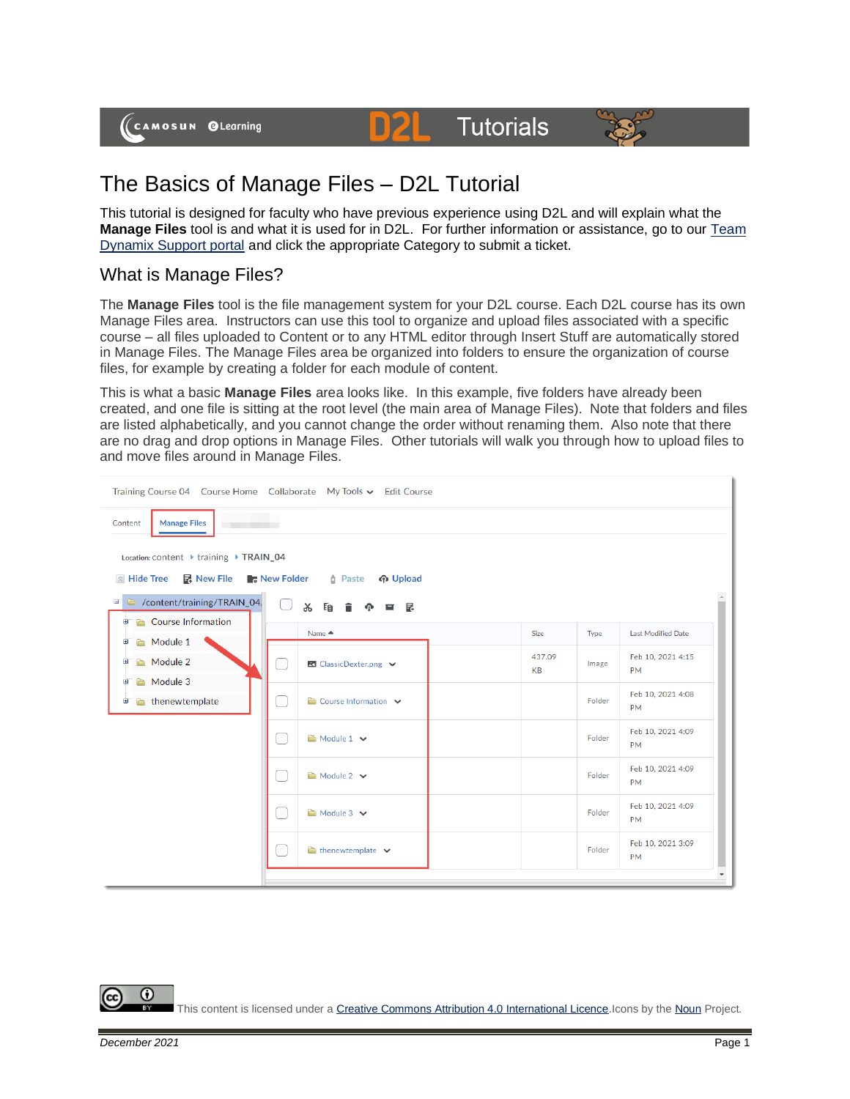



# The Basics of Manage Files – D2L Tutorial

This tutorial is designed for faculty who have previous experience using D2L and will explain what the **Manage Files** tool is and what it is used for in D2L. For further information or assistance, go to our Team [Dynamix Support portal](https://camosun.teamdynamix.com/TDClient/67/Portal/Requests/ServiceCatalog?CategoryID=523) and click the appropriate Category to submit a ticket.

D

### What is Manage Files?

The **Manage Files** tool is the file management system for your D2L course. Each D2L course has its own Manage Files area. Instructors can use this tool to organize and upload files associated with a specific course – all files uploaded to Content or to any HTML editor through Insert Stuff are automatically stored in Manage Files. The Manage Files area be organized into folders to ensure the organization of course files, for example by creating a folder for each module of content.

This is what a basic **Manage Files** area looks like. In this example, five folders have already been created, and one file is sitting at the root level (the main area of Manage Files). Note that folders and files are listed alphabetically, and you cannot change the order without renaming them. Also note that there are no drag and drop options in Manage Files. Other tutorials will walk you through how to upload files to and move files around in Manage Files.

| Training Course 04 Course Home Collaborate My Tools v Edit Course                                 |                                       |                     |        |                                |
|---------------------------------------------------------------------------------------------------|---------------------------------------|---------------------|--------|--------------------------------|
| <b>Manage Files</b><br>Content                                                                    |                                       |                     |        |                                |
| Location: content ▶ training ▶ TRAIN_04                                                           |                                       |                     |        |                                |
| <b>R. New File New Folder</b> 1 Paste<br>$\land$ Hide Tree<br>က Upload                            |                                       |                     |        |                                |
| content/training/TRAIN_04,<br>g,<br>※ 昏 言<br>■ 昆<br>⋒                                             |                                       |                     |        |                                |
| Course Information<br>画<br>Module 1<br>田<br>Module 2<br>Đ<br>Module 3<br>⊞<br>thenewtemplate<br>Đ | Name $\triangle$                      | Size                | Type   | Last Modified Date             |
|                                                                                                   | B ClassicDexter.png ↓                 | 437.09<br><b>KB</b> | Image  | Feb 10, 2021 4:15<br><b>PM</b> |
|                                                                                                   | $\Box$ Course Information $\vee$      |                     | Folder | Feb 10, 2021 4:08<br><b>PM</b> |
|                                                                                                   | Module 1 v                            |                     | Folder | Feb 10, 2021 4:09<br><b>PM</b> |
|                                                                                                   | Module 2 v                            |                     | Folder | Feb 10, 2021 4:09<br><b>PM</b> |
|                                                                                                   | Module 3 $\vee$                       |                     | Folder | Feb 10, 2021 4:09<br><b>PM</b> |
|                                                                                                   | $\bullet$ thenewtemplate $\checkmark$ |                     | Folder | Feb 10, 2021 3:09<br><b>PM</b> |
|                                                                                                   |                                       |                     |        | $\overline{\phantom{a}}$       |

⋒ This content is licensed under [a Creative Commons Attribution 4.0 International Licence.I](https://creativecommons.org/licenses/by/4.0/)cons by th[e Noun](https://creativecommons.org/website-icons/) Project.